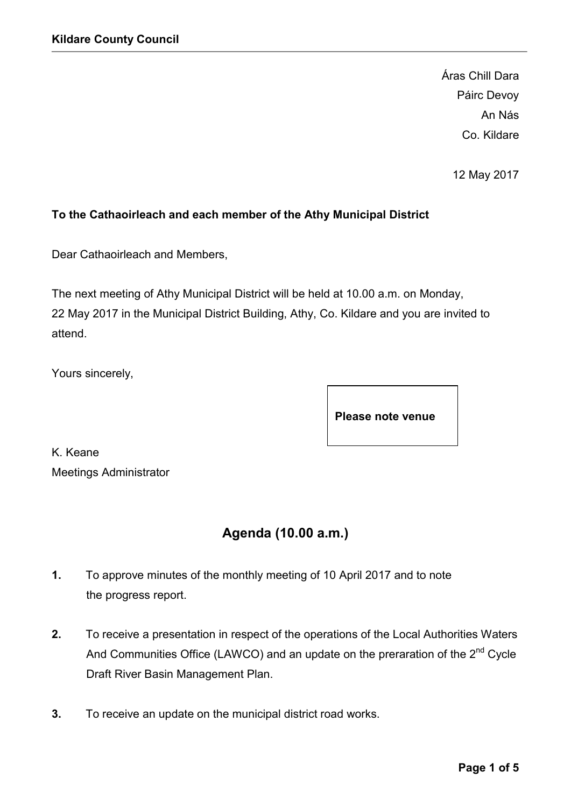Áras Chill Dara Páirc Devoy An Nás Co. Kildare

12 May 2017

### **To the Cathaoirleach and each member of the Athy Municipal District**

Dear Cathaoirleach and Members,

The next meeting of Athy Municipal District will be held at 10.00 a.m. on Monday, 22 May 2017 in the Municipal District Building, Athy, Co. Kildare and you are invited to attend.

Yours sincerely,

**Please note venue**

K. Keane Meetings Administrator

# **Agenda (10.00 a.m.)**

- **1.** To approve minutes of the monthly meeting of 10 April 2017 and to note the progress report.
- **2.** To receive a presentation in respect of the operations of the Local Authorities Waters And Communities Office (LAWCO) and an update on the preraration of the  $2^{nd}$  Cycle Draft River Basin Management Plan.
- **3.** To receive an update on the municipal district road works.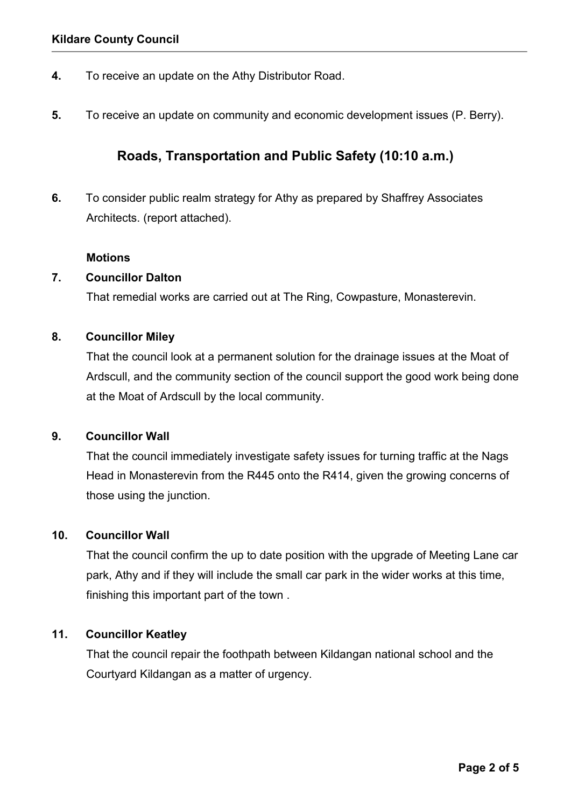- **4.** To receive an update on the Athy Distributor Road.
- **5.** To receive an update on community and economic development issues (P. Berry).

# **Roads, Transportation and Public Safety (10:10 a.m.)**

**6.** To consider public realm strategy for Athy as prepared by Shaffrey Associates Architects. (report attached).

### **Motions**

### **7. Councillor Dalton**

That remedial works are carried out at The Ring, Cowpasture, Monasterevin.

### **8. Councillor Miley**

That the council look at a permanent solution for the drainage issues at the Moat of Ardscull, and the community section of the council support the good work being done at the Moat of Ardscull by the local community.

### **9. Councillor Wall**

That the council immediately investigate safety issues for turning traffic at the Nags Head in Monasterevin from the R445 onto the R414, given the growing concerns of those using the junction.

### **10. Councillor Wall**

That the council confirm the up to date position with the upgrade of Meeting Lane car park, Athy and if they will include the small car park in the wider works at this time, finishing this important part of the town .

### **11. Councillor Keatley**

That the council repair the foothpath between Kildangan national school and the Courtyard Kildangan as a matter of urgency.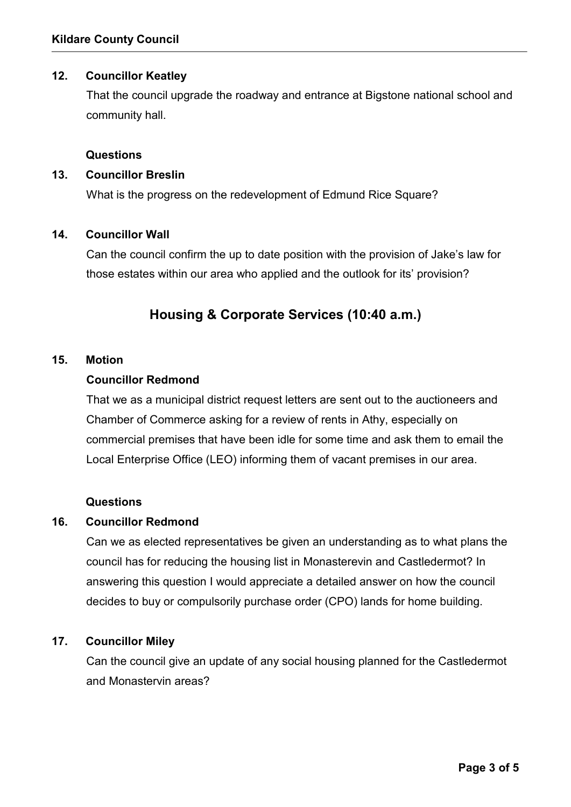### **12. Councillor Keatley**

That the council upgrade the roadway and entrance at Bigstone national school and community hall.

### **Questions**

### **13. Councillor Breslin**

What is the progress on the redevelopment of Edmund Rice Square?

### **14. Councillor Wall**

Can the council confirm the up to date position with the provision of Jake's law for those estates within our area who applied and the outlook for its' provision?

# **Housing & Corporate Services (10:40 a.m.)**

### **15. Motion**

### **Councillor Redmond**

That we as a municipal district request letters are sent out to the auctioneers and Chamber of Commerce asking for a review of rents in Athy, especially on commercial premises that have been idle for some time and ask them to email the Local Enterprise Office (LEO) informing them of vacant premises in our area.

#### **Questions**

### **16. Councillor Redmond**

Can we as elected representatives be given an understanding as to what plans the council has for reducing the housing list in Monasterevin and Castledermot? In answering this question I would appreciate a detailed answer on how the council decides to buy or compulsorily purchase order (CPO) lands for home building.

### **17. Councillor Miley**

Can the council give an update of any social housing planned for the Castledermot and Monastervin areas?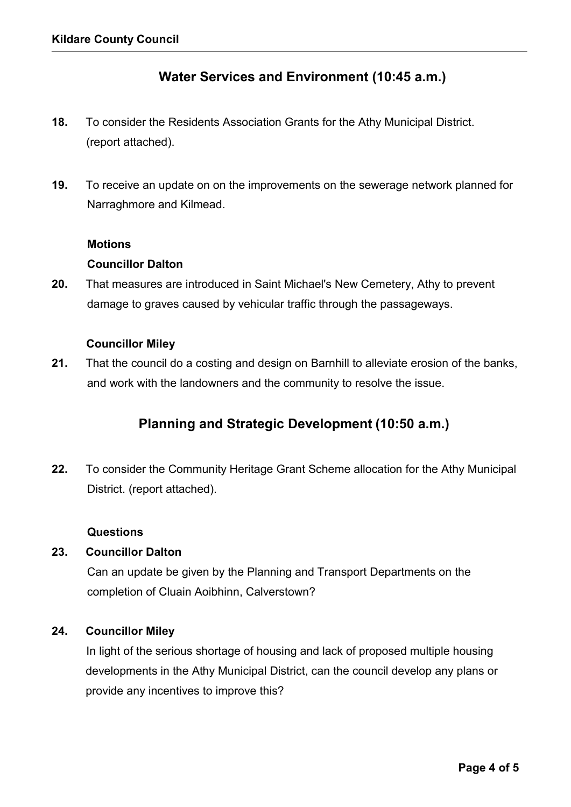## **Water Services and Environment (10:45 a.m.)**

- **18.** To consider the Residents Association Grants for the Athy Municipal District. (report attached).
- **19.** To receive an update on on the improvements on the sewerage network planned for Narraghmore and Kilmead.

#### **Motions**

### **Councillor Dalton**

**20.** That measures are introduced in Saint Michael's New Cemetery, Athy to prevent damage to graves caused by vehicular traffic through the passageways.

### **Councillor Miley**

**21.** That the council do a costing and design on Barnhill to alleviate erosion of the banks, and work with the landowners and the community to resolve the issue.

# **Planning and Strategic Development (10:50 a.m.)**

**22.** To consider the Community Heritage Grant Scheme allocation for the Athy Municipal District. (report attached).

#### **Questions**

### **23. Councillor Dalton**

Can an update be given by the Planning and Transport Departments on the completion of Cluain Aoibhinn, Calverstown?

### **24. Councillor Miley**

In light of the serious shortage of housing and lack of proposed multiple housing developments in the Athy Municipal District, can the council develop any plans or provide any incentives to improve this?